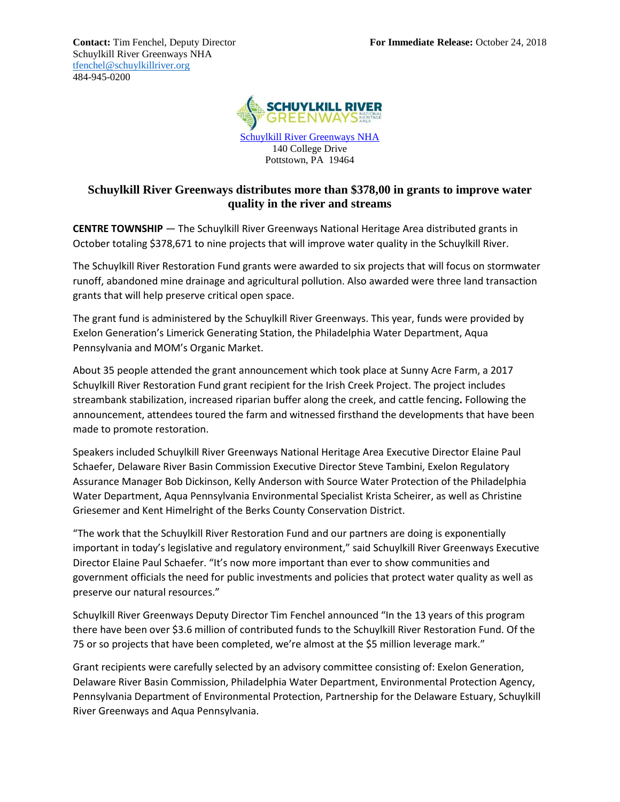Schuylkill River Greenways NHA [tfenchel@schuylkillriver.org](mailto:tfenchel@schuylkillriver.org) 484-945-0200



[Schuylkill River Greenways NHA](http://www.schuylkillriver.org/) 140 College Drive Pottstown, PA 19464

## **Schuylkill River Greenways distributes more than \$378,00 in grants to improve water quality in the river and streams**

**CENTRE TOWNSHIP** — The Schuylkill River Greenways National Heritage Area distributed grants in October totaling \$378,671 to nine projects that will improve water quality in the Schuylkill River.

The Schuylkill River Restoration Fund grants were awarded to six projects that will focus on stormwater runoff, abandoned mine drainage and agricultural pollution. Also awarded were three land transaction grants that will help preserve critical open space.

The grant fund is administered by the Schuylkill River Greenways. This year, funds were provided by Exelon Generation's Limerick Generating Station, the Philadelphia Water Department, Aqua Pennsylvania and MOM's Organic Market.

About 35 people attended the grant announcement which took place at Sunny Acre Farm, a 2017 Schuylkill River Restoration Fund grant recipient for the Irish Creek Project. The project includes streambank stabilization, increased riparian buffer along the creek, and cattle fencing**.** Following the announcement, attendees toured the farm and witnessed firsthand the developments that have been made to promote restoration.

Speakers included Schuylkill River Greenways National Heritage Area Executive Director Elaine Paul Schaefer, Delaware River Basin Commission Executive Director Steve Tambini, Exelon Regulatory Assurance Manager Bob Dickinson, Kelly Anderson with Source Water Protection of the Philadelphia Water Department, Aqua Pennsylvania Environmental Specialist Krista Scheirer, as well as Christine Griesemer and Kent Himelright of the Berks County Conservation District.

"The work that the Schuylkill River Restoration Fund and our partners are doing is exponentially important in today's legislative and regulatory environment," said Schuylkill River Greenways Executive Director Elaine Paul Schaefer. "It's now more important than ever to show communities and government officials the need for public investments and policies that protect water quality as well as preserve our natural resources."

Schuylkill River Greenways Deputy Director Tim Fenchel announced "In the 13 years of this program there have been over \$3.6 million of contributed funds to the Schuylkill River Restoration Fund. Of the 75 or so projects that have been completed, we're almost at the \$5 million leverage mark."

Grant recipients were carefully selected by an advisory committee consisting of: Exelon Generation, Delaware River Basin Commission, Philadelphia Water Department, Environmental Protection Agency, Pennsylvania Department of Environmental Protection, Partnership for the Delaware Estuary, Schuylkill River Greenways and Aqua Pennsylvania.